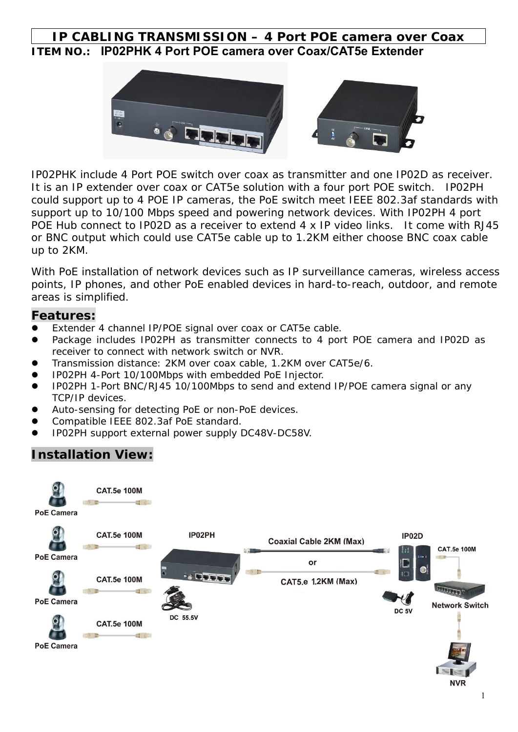### **IP CABLING TRANSMISSION – 4 Port POE camera over Coax ITEM NO.: IP02PHK 4 Port POE camera over Coax/CAT5e Extender**



IP02PHK include 4 Port POE switch over coax as transmitter and one IP02D as receiver. It is an IP extender over coax or CAT5e solution with a four port POE switch. IP02PH could support up to 4 POE IP cameras, the PoE switch meet IEEE 802.3af standards with support up to 10/100 Mbps speed and powering network devices. With IP02PH 4 port POE Hub connect to IP02D as a receiver to extend 4 x IP video links. It come with RJ45 or BNC output which could use CAT5e cable up to 1.2KM either choose BNC coax cable up to 2KM.

With PoE installation of network devices such as IP surveillance cameras, wireless access points, IP phones, and other PoE enabled devices in hard-to-reach, outdoor, and remote areas is simplified.

#### **Features:**

- Extender 4 channel IP/POE signal over coax or CAT5e cable.
- Package includes IP02PH as transmitter connects to 4 port POE camera and IP02D as receiver to connect with network switch or NVR.
- Transmission distance: 2KM over coax cable, 1.2KM over CAT5e/6.
- IP02PH 4-Port 10/100Mbps with embedded PoE Injector.
- IP02PH 1-Port BNC/RJ45 10/100Mbps to send and extend IP/POE camera signal or any TCP/IP devices.
- Auto-sensing for detecting PoE or non-PoE devices.
- Compatible IEEE 802.3af PoE standard.
- IP02PH support external power supply DC48V-DC58V.

### **Installation View:**

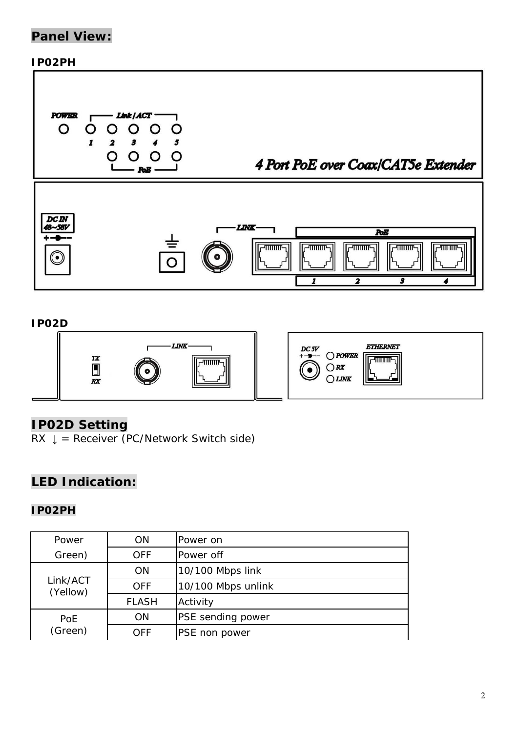# **Panel View:**

#### **IP02PH**



#### **IP02D**



### **IP02D Setting**

 $RX \downarrow$  = Receiver (PC/Network Switch side)

## **LED Indication:**

#### **IP02PH**

| Power                | <b>ON</b>    | Power on                 |
|----------------------|--------------|--------------------------|
| Green)               | <b>OFF</b>   | Power off                |
| Link/ACT<br>(Yellow) | <b>ON</b>    | 10/100 Mbps link         |
|                      | <b>OFF</b>   | 10/100 Mbps unlink       |
|                      | <b>FLASH</b> | Activity                 |
| PoE<br>(Green)       | <b>ON</b>    | <b>PSE</b> sending power |
|                      | OFF          | <b>PSE</b> non power     |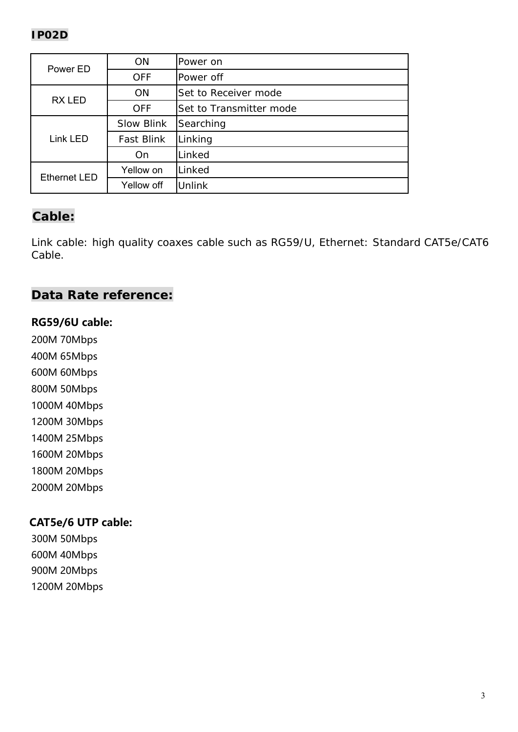| Power ED            | <b>ON</b>         | Power on                |
|---------------------|-------------------|-------------------------|
|                     | <b>OFF</b>        | Power off               |
| <b>RXLED</b>        | <b>ON</b>         | Set to Receiver mode    |
|                     | <b>OFF</b>        | Set to Transmitter mode |
| Link LED            | <b>Slow Blink</b> | Searching               |
|                     | <b>Fast Blink</b> | Linking                 |
|                     | On                | Linked                  |
| <b>Ethernet LED</b> | Yellow on         | Linked                  |
|                     | Yellow off        | Unlink                  |

# **Cable:**

Link cable: high quality coaxes cable such as RG59/U, Ethernet: Standard CAT5e/CAT6 Cable.

### **Data Rate reference:**

#### **RG59/6U cable:**

200M 70Mbps

400M 65Mbps

600M 60Mbps

800M 50Mbps

1000M 40Mbps

1200M 30Mbps

1400M 25Mbps

1600M 20Mbps

1800M 20Mbps

2000M 20Mbps

### CAT5e/6 UTP cable:

300M 50Mbps 600M 40Mbps 900M 20Mbps 1200M 20Mbps